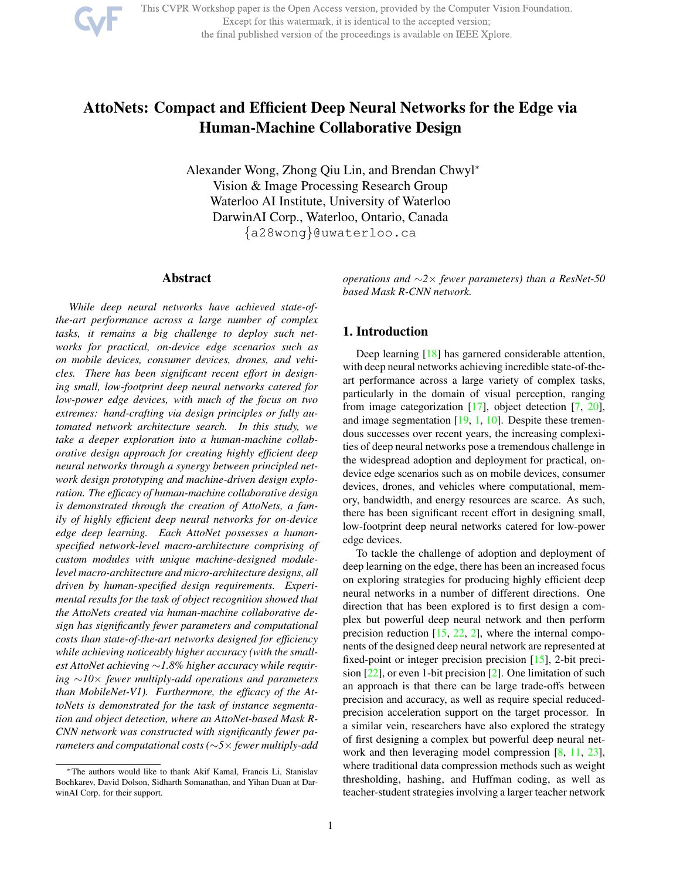

This CVPR Workshop paper is the Open Access version, provided by the Computer Vision Foundation. Except for this watermark, it is identical to the accepted version; the final published version of the proceedings is available on IEEE Xplore.

# AttoNets: Compact and Efficient Deep Neural Networks for the Edge via Human-Machine Collaborative Design

Alexander Wong, Zhong Qiu Lin, and Brendan Chwyl<sup>∗</sup> Vision & Image Processing Research Group Waterloo AI Institute, University of Waterloo DarwinAI Corp., Waterloo, Ontario, Canada {a28wong}@uwaterloo.ca

## Abstract

*While deep neural networks have achieved state-ofthe-art performance across a large number of complex tasks, it remains a big challenge to deploy such networks for practical, on-device edge scenarios such as on mobile devices, consumer devices, drones, and vehicles. There has been significant recent effort in designing small, low-footprint deep neural networks catered for low-power edge devices, with much of the focus on two extremes: hand-crafting via design principles or fully automated network architecture search. In this study, we take a deeper exploration into a human-machine collaborative design approach for creating highly efficient deep neural networks through a synergy between principled network design prototyping and machine-driven design exploration. The efficacy of human-machine collaborative design is demonstrated through the creation of AttoNets, a family of highly efficient deep neural networks for on-device edge deep learning. Each AttoNet possesses a humanspecified network-level macro-architecture comprising of custom modules with unique machine-designed modulelevel macro-architecture and micro-architecture designs, all driven by human-specified design requirements. Experimental results for the task of object recognition showed that the AttoNets created via human-machine collaborative design has significantly fewer parameters and computational costs than state-of-the-art networks designed for efficiency while achieving noticeably higher accuracy (with the smallest AttoNet achieving* ∼*1.8% higher accuracy while requiring* ∼*10*× *fewer multiply-add operations and parameters than MobileNet-V1). Furthermore, the efficacy of the AttoNets is demonstrated for the task of instance segmentation and object detection, where an AttoNet-based Mask R-CNN network was constructed with significantly fewer parameters and computational costs (*∼*5*× *fewer multiply-add*

*operations and* ∼*2*× *fewer parameters) than a ResNet-50 based Mask R-CNN network.*

## 1. Introduction

Deep learning [18] has garnered considerable attention, with deep neural networks achieving incredible state-of-theart performance across a large variety of complex tasks, particularly in the domain of visual perception, ranging from image categorization [17], object detection [7, 20], and image segmentation [19, 1, 10]. Despite these tremendous successes over recent years, the increasing complexities of deep neural networks pose a tremendous challenge in the widespread adoption and deployment for practical, ondevice edge scenarios such as on mobile devices, consumer devices, drones, and vehicles where computational, memory, bandwidth, and energy resources are scarce. As such, there has been significant recent effort in designing small, low-footprint deep neural networks catered for low-power edge devices.

To tackle the challenge of adoption and deployment of deep learning on the edge, there has been an increased focus on exploring strategies for producing highly efficient deep neural networks in a number of different directions. One direction that has been explored is to first design a complex but powerful deep neural network and then perform precision reduction  $[15, 22, 2]$ , where the internal components of the designed deep neural network are represented at fixed-point or integer precision precision [15], 2-bit precision [22], or even 1-bit precision [2]. One limitation of such an approach is that there can be large trade-offs between precision and accuracy, as well as require special reducedprecision acceleration support on the target processor. In a similar vein, researchers have also explored the strategy of first designing a complex but powerful deep neural network and then leveraging model compression [8, 11, 23], where traditional data compression methods such as weight thresholding, hashing, and Huffman coding, as well as teacher-student strategies involving a larger teacher network

<sup>∗</sup>The authors would like to thank Akif Kamal, Francis Li, Stanislav Bochkarev, David Dolson, Sidharth Somanathan, and Yihan Duan at DarwinAI Corp. for their support.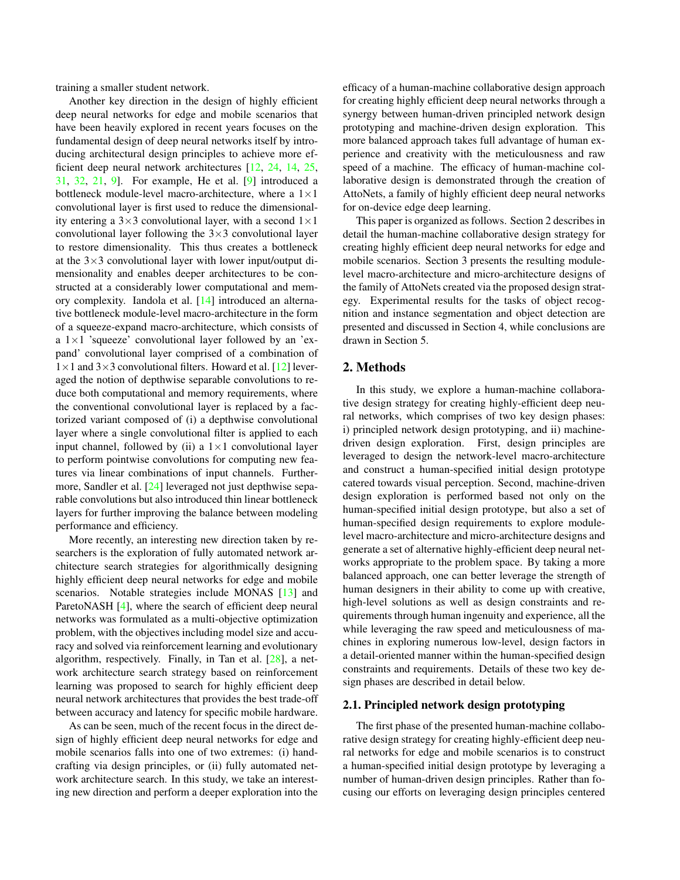training a smaller student network.

Another key direction in the design of highly efficient deep neural networks for edge and mobile scenarios that have been heavily explored in recent years focuses on the fundamental design of deep neural networks itself by introducing architectural design principles to achieve more efficient deep neural network architectures [12, 24, 14, 25, 31, 32, 21, 9]. For example, He et al. [9] introduced a bottleneck module-level macro-architecture, where a  $1 \times 1$ convolutional layer is first used to reduce the dimensionality entering a  $3\times3$  convolutional layer, with a second  $1\times1$ convolutional layer following the  $3\times3$  convolutional layer to restore dimensionality. This thus creates a bottleneck at the  $3\times3$  convolutional layer with lower input/output dimensionality and enables deeper architectures to be constructed at a considerably lower computational and memory complexity. Iandola et al. [14] introduced an alternative bottleneck module-level macro-architecture in the form of a squeeze-expand macro-architecture, which consists of a  $1\times1$  'squeeze' convolutional layer followed by an 'expand' convolutional layer comprised of a combination of  $1\times1$  and  $3\times3$  convolutional filters. Howard et al. [12] leveraged the notion of depthwise separable convolutions to reduce both computational and memory requirements, where the conventional convolutional layer is replaced by a factorized variant composed of (i) a depthwise convolutional layer where a single convolutional filter is applied to each input channel, followed by (ii) a  $1 \times 1$  convolutional layer to perform pointwise convolutions for computing new features via linear combinations of input channels. Furthermore, Sandler et al. [24] leveraged not just depthwise separable convolutions but also introduced thin linear bottleneck layers for further improving the balance between modeling performance and efficiency.

More recently, an interesting new direction taken by researchers is the exploration of fully automated network architecture search strategies for algorithmically designing highly efficient deep neural networks for edge and mobile scenarios. Notable strategies include MONAS [13] and ParetoNASH [4], where the search of efficient deep neural networks was formulated as a multi-objective optimization problem, with the objectives including model size and accuracy and solved via reinforcement learning and evolutionary algorithm, respectively. Finally, in Tan et al. [28], a network architecture search strategy based on reinforcement learning was proposed to search for highly efficient deep neural network architectures that provides the best trade-off between accuracy and latency for specific mobile hardware.

As can be seen, much of the recent focus in the direct design of highly efficient deep neural networks for edge and mobile scenarios falls into one of two extremes: (i) handcrafting via design principles, or (ii) fully automated network architecture search. In this study, we take an interesting new direction and perform a deeper exploration into the

efficacy of a human-machine collaborative design approach for creating highly efficient deep neural networks through a synergy between human-driven principled network design prototyping and machine-driven design exploration. This more balanced approach takes full advantage of human experience and creativity with the meticulousness and raw speed of a machine. The efficacy of human-machine collaborative design is demonstrated through the creation of AttoNets, a family of highly efficient deep neural networks for on-device edge deep learning.

This paper is organized as follows. Section 2 describes in detail the human-machine collaborative design strategy for creating highly efficient deep neural networks for edge and mobile scenarios. Section 3 presents the resulting modulelevel macro-architecture and micro-architecture designs of the family of AttoNets created via the proposed design strategy. Experimental results for the tasks of object recognition and instance segmentation and object detection are presented and discussed in Section 4, while conclusions are drawn in Section 5.

## 2. Methods

In this study, we explore a human-machine collaborative design strategy for creating highly-efficient deep neural networks, which comprises of two key design phases: i) principled network design prototyping, and ii) machinedriven design exploration. First, design principles are leveraged to design the network-level macro-architecture and construct a human-specified initial design prototype catered towards visual perception. Second, machine-driven design exploration is performed based not only on the human-specified initial design prototype, but also a set of human-specified design requirements to explore modulelevel macro-architecture and micro-architecture designs and generate a set of alternative highly-efficient deep neural networks appropriate to the problem space. By taking a more balanced approach, one can better leverage the strength of human designers in their ability to come up with creative, high-level solutions as well as design constraints and requirements through human ingenuity and experience, all the while leveraging the raw speed and meticulousness of machines in exploring numerous low-level, design factors in a detail-oriented manner within the human-specified design constraints and requirements. Details of these two key design phases are described in detail below.

#### 2.1. Principled network design prototyping

The first phase of the presented human-machine collaborative design strategy for creating highly-efficient deep neural networks for edge and mobile scenarios is to construct a human-specified initial design prototype by leveraging a number of human-driven design principles. Rather than focusing our efforts on leveraging design principles centered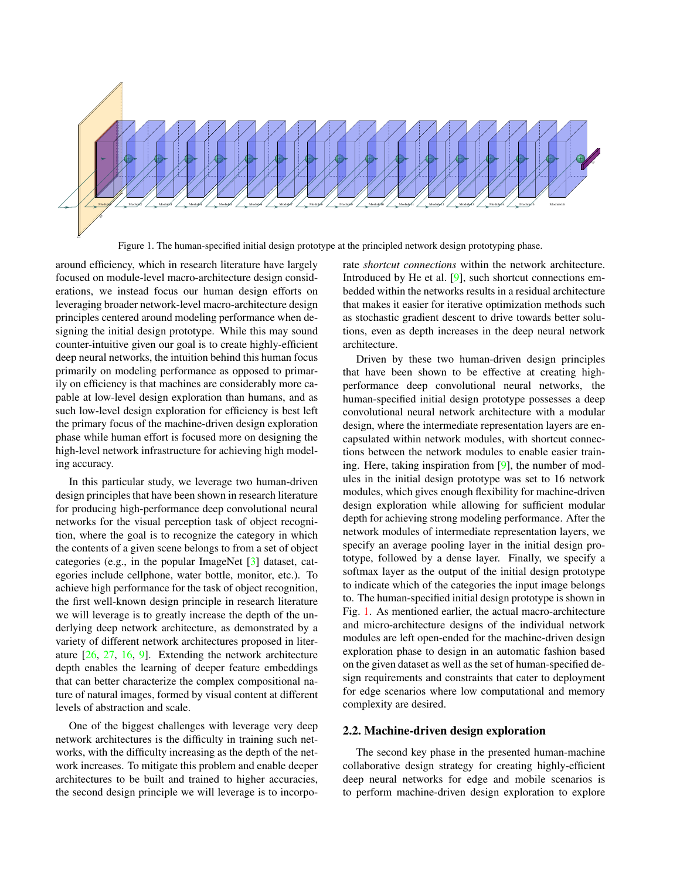

Figure 1. The human-specified initial design prototype at the principled network design prototyping phase.

around efficiency, which in research literature have largely focused on module-level macro-architecture design considerations, we instead focus our human design efforts on leveraging broader network-level macro-architecture design principles centered around modeling performance when designing the initial design prototype. While this may sound counter-intuitive given our goal is to create highly-efficient deep neural networks, the intuition behind this human focus primarily on modeling performance as opposed to primarily on efficiency is that machines are considerably more capable at low-level design exploration than humans, and as such low-level design exploration for efficiency is best left the primary focus of the machine-driven design exploration phase while human effort is focused more on designing the high-level network infrastructure for achieving high modeling accuracy.

In this particular study, we leverage two human-driven design principles that have been shown in research literature for producing high-performance deep convolutional neural networks for the visual perception task of object recognition, where the goal is to recognize the category in which the contents of a given scene belongs to from a set of object categories (e.g., in the popular ImageNet [3] dataset, categories include cellphone, water bottle, monitor, etc.). To achieve high performance for the task of object recognition, the first well-known design principle in research literature we will leverage is to greatly increase the depth of the underlying deep network architecture, as demonstrated by a variety of different network architectures proposed in literature [26, 27, 16, 9]. Extending the network architecture depth enables the learning of deeper feature embeddings that can better characterize the complex compositional nature of natural images, formed by visual content at different levels of abstraction and scale.

One of the biggest challenges with leverage very deep network architectures is the difficulty in training such networks, with the difficulty increasing as the depth of the network increases. To mitigate this problem and enable deeper architectures to be built and trained to higher accuracies, the second design principle we will leverage is to incorporate *shortcut connections* within the network architecture. Introduced by He et al. [9], such shortcut connections embedded within the networks results in a residual architecture that makes it easier for iterative optimization methods such as stochastic gradient descent to drive towards better solutions, even as depth increases in the deep neural network architecture.

Driven by these two human-driven design principles that have been shown to be effective at creating highperformance deep convolutional neural networks, the human-specified initial design prototype possesses a deep convolutional neural network architecture with a modular design, where the intermediate representation layers are encapsulated within network modules, with shortcut connections between the network modules to enable easier training. Here, taking inspiration from [9], the number of modules in the initial design prototype was set to 16 network modules, which gives enough flexibility for machine-driven design exploration while allowing for sufficient modular depth for achieving strong modeling performance. After the network modules of intermediate representation layers, we specify an average pooling layer in the initial design prototype, followed by a dense layer. Finally, we specify a softmax layer as the output of the initial design prototype to indicate which of the categories the input image belongs to. The human-specified initial design prototype is shown in Fig. 1. As mentioned earlier, the actual macro-architecture and micro-architecture designs of the individual network modules are left open-ended for the machine-driven design exploration phase to design in an automatic fashion based on the given dataset as well as the set of human-specified design requirements and constraints that cater to deployment for edge scenarios where low computational and memory complexity are desired.

## 2.2. Machine-driven design exploration

The second key phase in the presented human-machine collaborative design strategy for creating highly-efficient deep neural networks for edge and mobile scenarios is to perform machine-driven design exploration to explore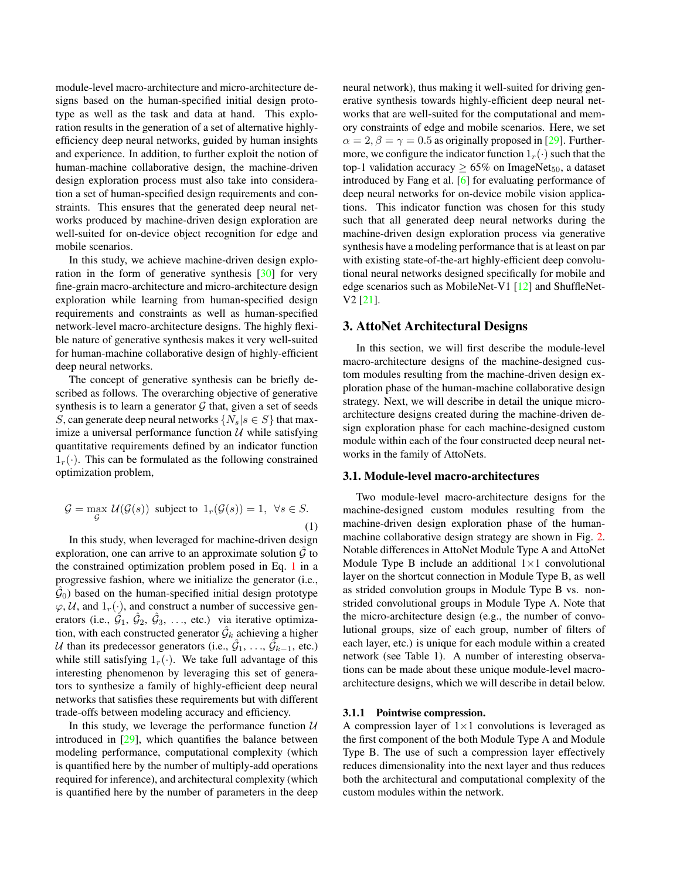module-level macro-architecture and micro-architecture designs based on the human-specified initial design prototype as well as the task and data at hand. This exploration results in the generation of a set of alternative highlyefficiency deep neural networks, guided by human insights and experience. In addition, to further exploit the notion of human-machine collaborative design, the machine-driven design exploration process must also take into consideration a set of human-specified design requirements and constraints. This ensures that the generated deep neural networks produced by machine-driven design exploration are well-suited for on-device object recognition for edge and mobile scenarios.

In this study, we achieve machine-driven design exploration in the form of generative synthesis [30] for very fine-grain macro-architecture and micro-architecture design exploration while learning from human-specified design requirements and constraints as well as human-specified network-level macro-architecture designs. The highly flexible nature of generative synthesis makes it very well-suited for human-machine collaborative design of highly-efficient deep neural networks.

The concept of generative synthesis can be briefly described as follows. The overarching objective of generative synthesis is to learn a generator  $G$  that, given a set of seeds S, can generate deep neural networks  $\{N_s | s \in S\}$  that maximize a universal performance function  $U$  while satisfying quantitative requirements defined by an indicator function  $1_r(\cdot)$ . This can be formulated as the following constrained optimization problem,

$$
\mathcal{G} = \max_{\mathcal{G}} \mathcal{U}(\mathcal{G}(s)) \text{ subject to } 1_r(\mathcal{G}(s)) = 1, \ \forall s \in S.
$$
\n(1)

In this study, when leveraged for machine-driven design exploration, one can arrive to an approximate solution  $\mathcal G$  to the constrained optimization problem posed in Eq. 1 in a progressive fashion, where we initialize the generator (i.e.,  $(\hat{G}_0)$  based on the human-specified initial design prototype  $\varphi, \mathcal{U}$ , and  $1_r(\cdot)$ , and construct a number of successive generators (i.e.,  $\hat{G}_1$ ,  $\hat{G}_2$ ,  $\hat{G}_3$ , ..., etc.) via iterative optimization, with each constructed generator  $\hat{\mathcal{G}}_k$  achieving a higher U than its predecessor generators (i.e.,  $\hat{G}_1, \ldots, \hat{G}_{k-1}$ , etc.) while still satisfying  $1_r(\cdot)$ . We take full advantage of this interesting phenomenon by leveraging this set of generators to synthesize a family of highly-efficient deep neural networks that satisfies these requirements but with different trade-offs between modeling accuracy and efficiency.

In this study, we leverage the performance function  $U$ introduced in  $[29]$ , which quantifies the balance between modeling performance, computational complexity (which is quantified here by the number of multiply-add operations required for inference), and architectural complexity (which is quantified here by the number of parameters in the deep

neural network), thus making it well-suited for driving generative synthesis towards highly-efficient deep neural networks that are well-suited for the computational and memory constraints of edge and mobile scenarios. Here, we set  $\alpha = 2, \beta = \gamma = 0.5$  as originally proposed in [29]. Furthermore, we configure the indicator function  $1_r(\cdot)$  such that the top-1 validation accuracy  $\geq 65\%$  on ImageNet<sub>50</sub>, a dataset introduced by Fang et al. [6] for evaluating performance of deep neural networks for on-device mobile vision applications. This indicator function was chosen for this study such that all generated deep neural networks during the machine-driven design exploration process via generative synthesis have a modeling performance that is at least on par with existing state-of-the-art highly-efficient deep convolutional neural networks designed specifically for mobile and edge scenarios such as MobileNet-V1 [12] and ShuffleNet-V2 [21].

## 3. AttoNet Architectural Designs

In this section, we will first describe the module-level macro-architecture designs of the machine-designed custom modules resulting from the machine-driven design exploration phase of the human-machine collaborative design strategy. Next, we will describe in detail the unique microarchitecture designs created during the machine-driven design exploration phase for each machine-designed custom module within each of the four constructed deep neural networks in the family of AttoNets.

#### 3.1. Module-level macro-architectures

Two module-level macro-architecture designs for the machine-designed custom modules resulting from the machine-driven design exploration phase of the humanmachine collaborative design strategy are shown in Fig. 2. Notable differences in AttoNet Module Type A and AttoNet Module Type B include an additional  $1\times1$  convolutional layer on the shortcut connection in Module Type B, as well as strided convolution groups in Module Type B vs. nonstrided convolutional groups in Module Type A. Note that the micro-architecture design (e.g., the number of convolutional groups, size of each group, number of filters of each layer, etc.) is unique for each module within a created network (see Table 1). A number of interesting observations can be made about these unique module-level macroarchitecture designs, which we will describe in detail below.

#### 3.1.1 Pointwise compression.

A compression layer of  $1\times1$  convolutions is leveraged as the first component of the both Module Type A and Module Type B. The use of such a compression layer effectively reduces dimensionality into the next layer and thus reduces both the architectural and computational complexity of the custom modules within the network.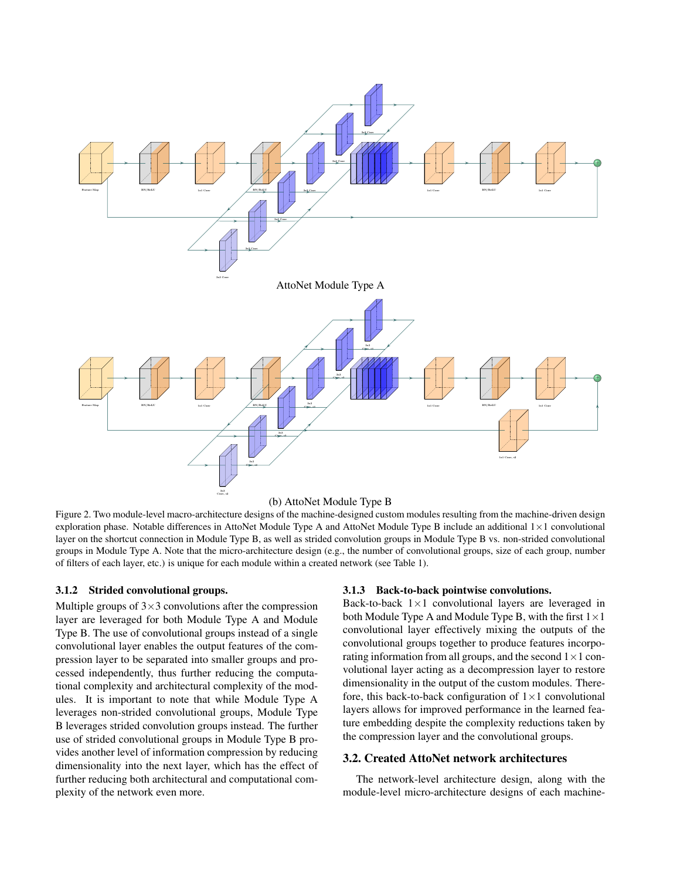

(b) AttoNet Module Type B

Figure 2. Two module-level macro-architecture designs of the machine-designed custom modules resulting from the machine-driven design exploration phase. Notable differences in AttoNet Module Type A and AttoNet Module Type B include an additional 1×1 convolutional layer on the shortcut connection in Module Type B, as well as strided convolution groups in Module Type B vs. non-strided convolutional groups in Module Type A. Note that the micro-architecture design (e.g., the number of convolutional groups, size of each group, number of filters of each layer, etc.) is unique for each module within a created network (see Table 1).

#### 3.1.2 Strided convolutional groups.

Multiple groups of  $3\times3$  convolutions after the compression layer are leveraged for both Module Type A and Module Type B. The use of convolutional groups instead of a single convolutional layer enables the output features of the compression layer to be separated into smaller groups and processed independently, thus further reducing the computational complexity and architectural complexity of the modules. It is important to note that while Module Type A leverages non-strided convolutional groups, Module Type B leverages strided convolution groups instead. The further use of strided convolutional groups in Module Type B provides another level of information compression by reducing dimensionality into the next layer, which has the effect of further reducing both architectural and computational complexity of the network even more.

#### 3.1.3 Back-to-back pointwise convolutions.

Back-to-back  $1\times1$  convolutional layers are leveraged in both Module Type A and Module Type B, with the first  $1 \times 1$ convolutional layer effectively mixing the outputs of the convolutional groups together to produce features incorporating information from all groups, and the second  $1 \times 1$  convolutional layer acting as a decompression layer to restore dimensionality in the output of the custom modules. Therefore, this back-to-back configuration of  $1 \times 1$  convolutional layers allows for improved performance in the learned feature embedding despite the complexity reductions taken by the compression layer and the convolutional groups.

## 3.2. Created AttoNet network architectures

The network-level architecture design, along with the module-level micro-architecture designs of each machine-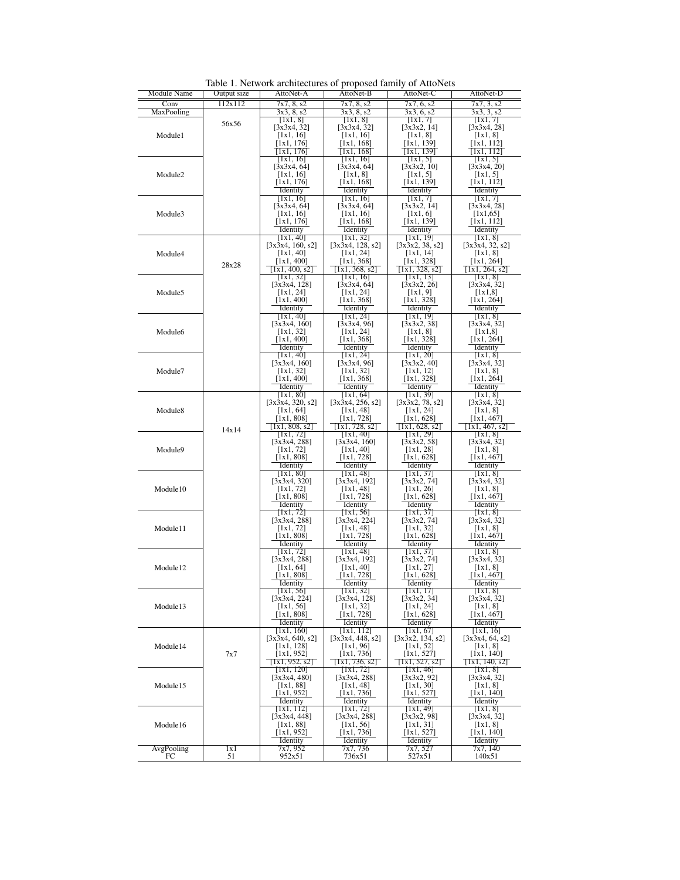| Module Name          | Output size | AttoNet-A                   | r - - r - - - -<br>AttoNet-B  | AttoNet-C                | AttoNet-D                                      |
|----------------------|-------------|-----------------------------|-------------------------------|--------------------------|------------------------------------------------|
| Conv                 | 112x112     | 7x7, 8, s2                  | 7x7, 8, s2                    | 7x7, 6, s2               | 7x7, 3, s2                                     |
| MaxPooling           |             | 3x3, 8, s2                  | 3x3, 8, s2                    | $\overline{3x3, 6, s2}$  | 3x3, 3, s2                                     |
|                      | 56x56       | [IxI, 8]                    | [IxI, 8]                      | [Ix1, 7]                 | [Ix1, 7]                                       |
| Module1              |             | [3x3x4, 32]                 | [3x3x4, 32]                   | [3x3x2, 14]              | [3x3x4, 28]                                    |
|                      |             | [1x1, 16]                   | [1x1, 16]                     | [1x1, 8]                 | [1x1, 8]                                       |
|                      |             | [1x1, 176]                  | [1x1, 168]                    | [1x1, 139]               | [1x1, 112]                                     |
|                      |             | [1x1, 176]                  | [1x1, 168]                    | [1x1, 139]               | [1x1, 112]                                     |
|                      |             | [1x1, 16]<br>[3x3x4, 64]    | [1x1, 16]<br>[3x3x4, 64]      | [1x1, 5]<br>[3x3x2, 10]  | $[$ IxI, 5]<br>[3x3x4, 20]                     |
| Module <sub>2</sub>  |             | [1x1, 16]                   | [1x1, 8]                      | [1x1, 5]                 | [1x1, 5]                                       |
|                      |             | [1x1, 176]                  | [1x1, 168]                    | [1x1, 139]               | [1x1, 112]                                     |
|                      |             | Identity                    | Identity                      | Identity                 | Identity                                       |
|                      |             | [1x1, 16]                   | [1x1, 16]                     | [1x1, 7]                 | [1x1, 7]                                       |
|                      |             | [3x3x4, 64]                 | [3x3x4, 64]                   | [3x3x2, 14]              | [3x3x4, 28]                                    |
| Module3              |             | [1x1, 16]                   | [1x1, 16]                     | [1x1, 6]                 | [1x1, 65]                                      |
|                      |             | [1x1, 176]<br>Identity      | [1x1, 168]<br>Identity        | [1x1, 139]<br>Identity   | [1x1, 112]<br>Identity                         |
|                      |             | [1x1, 40]                   | [1x1, 32]                     | [1x1, 19]                | [1x1, 8]                                       |
|                      |             | [3x3x4, 160, s2]            | [3x3x4, 128, s2]              | [3x3x2, 38, s2]          | [3x3x4, 32, s2]                                |
| Module4              |             | [1x1, 40]                   | [1x1, 24]                     | [1x1, 14]                | [1x1, 8]                                       |
|                      | 28x28       | [1x1, 400]                  | [1x1, 368]                    | [1x1, 328]               | [1x1, 264]                                     |
|                      |             | [1x1, 400, s2]              | [1x1, 368, s2]                | [1x1, 328, s2]           | [1x1, 264, s2]                                 |
|                      |             | [1x1, 32]                   | [1x1, 16]                     | [1x1, 13]                | $\lceil \lceil x \rceil, 8 \rceil$             |
|                      |             | [3x3x4, 128]                | [3x3x4, 64]                   | [3x3x2, 26]              | [3x3x4, 32]                                    |
| Module5              |             | [1x1, 24]<br>[1x1, 400]     | [1x1, 24]<br>[1x1, 368]       | [1x1, 9]<br>[1x1, 328]   | [1x1,8]<br>[1x1, 264]                          |
|                      |             | Identity                    | Identity                      | Identity                 | Identity                                       |
|                      |             | [1x1, 40]                   | [1x1, 24]                     | [1x1, 19]                | [1x1, 8]                                       |
|                      |             | [3x3x4, 160]                | [3x3x4, 96]                   | [3x3x2, 38]              | [3x3x4, 32]                                    |
| Module <sub>6</sub>  |             | [1x1, 32]                   | [1x1, 24]                     | [1x1, 8]                 | $[1x1,8]$                                      |
|                      |             | [1x1, 400]                  | [1x1, 368]                    | [1x1, 328]               | [1x1, 264]                                     |
|                      |             | Identity                    | Identity                      | Identity                 | Identity                                       |
|                      |             | [1x1, 40]                   | [1x1, 24]                     | [1x1, 20]                | $\left[ \left[ \left[ \right] \right] \right]$ |
| Module7              |             | [3x3x4, 160]<br>[1x1, 32]   | [3x3x4, 96]<br>[1x1, 32]      | [3x3x2, 40]<br>[1x1, 12] | [3x3x4, 32]<br>[1x1, 8]                        |
|                      |             | [1x1, 400]                  | [1x1, 368]                    | [1x1, 328]               | [1x1, 264]                                     |
|                      |             | Identity                    | Identity                      | Identity                 | Identity                                       |
|                      |             | [1x1, 80]                   | [1x1, 64]                     | [1x1, 39]                | [1x1, 8]                                       |
|                      |             | [3x3x4, 320, s2]            | [3x3x4, 256, s2]              | [3x3x2, 78, s2]          | [3x3x4, 32]                                    |
| Module <sub>8</sub>  |             | [1x1, 64]                   | [1x1, 48]                     | [1x1, 24]                | [1x1, 8]                                       |
|                      |             | [1x1, 808]                  | [1x1, 728]                    | [1x1, 628]               | [1x1, 467]                                     |
| Module9              | 14x14       | [1x1, 808, s2]              | [1x1, 728, s2]                | [1x1, 628, s2]           | [1x1, 467, s2                                  |
|                      |             | [1x1, 72]<br>[3x3x4, 288]   | [1x1, 40]<br>[3x3x4, 160]     | [1x1, 29]<br>[3x3x2, 58] | [1x1, 8]<br>[3x3x4, 32]                        |
|                      |             | [1x1, 72]                   | [1x1, 40]                     | [1x1, 28]                | [1x1, 8]                                       |
|                      |             | [1x1, 808]                  | [1x1, 728]                    | [1x1, 628]               | [1x1, 467]                                     |
|                      |             | Identity                    | Identity                      | Identity                 | Identity                                       |
|                      |             | [1x1, 80]                   | [1x1, 48]                     | [1x1, 37]                | [1x1, 8]                                       |
|                      |             | [3x3x4, 320]                | [ $3x3x4, 192$ ]              | [3x3x2, 74]              | [3x3x4, 32]                                    |
| Module10             |             | [1x1, 72]                   | [1x1, 48]                     | [1x1, 26]                | [1x1, 8]                                       |
|                      |             | [1x1, 808]<br>Identity      | [1x1, 728]<br>Identity        | [1x1, 628]<br>Identity   | [1x1, 467]<br>Identity                         |
|                      |             | [1x1, 72]                   | [1x1, 56]                     | [1x1, 37]                | [1x1, 8]                                       |
|                      |             | [3x3x4, 288]                | [3x3x4, 224]                  | [3x3x2, 74]              | [3x3x4, 32]                                    |
| Module11             |             | [1x1, 72]                   | [1x1, 48]                     | [1x1, 32]                | [1x1, 8]                                       |
|                      |             | [1x1, 808]                  | [1x1, 728]                    | [1x1, 628]               | [1x1, 467]                                     |
|                      |             | Identity                    | Identity                      | Identity                 | Identity                                       |
|                      |             | [1x1, 72]<br>[3x3x4, 288]   | [1x1, 48]<br>[ $3x3x4, 192$ ] | [1x1, 37]                | [1x1, 8]<br>[3x3x4, 32]                        |
| Module <sub>12</sub> |             | [1x1, 64]                   | [1x1, 40]                     | [3x3x2, 74]<br>[1x1, 27] | [1x1, 8]                                       |
|                      |             | $[1x1, 808]$                | [1x1, 728]                    | [1x1, 628]               | [1x1, 467]                                     |
|                      |             | Identity                    | <b>Identity</b>               | Identity                 | Identity                                       |
|                      |             | [1x1, 56]                   | [1x1, 32]                     | [1x1, 17]                | [1x1, 8]                                       |
|                      |             | [3x3x4, 224]                | [3x3x4, 128]                  | [3x3x2, 34]              | [3x3x4, 32]                                    |
| Module13             |             | [1x1, 56]                   | [1x1, 32]                     | [1x1, 24]                | [1x1, 8]                                       |
|                      |             | $[1x1, 808]$<br>Identity    | [1x1, 728]<br>Identity        | [1x1, 628]<br>Identity   | [1x1, 467]<br>Identity                         |
| Module <sub>14</sub> |             | [1x1, 160]                  | [1x1, 112]                    | [1x1, 67]                | [1x1, 16]                                      |
|                      |             | [3x3x4, 640, s2]            | [3x3x4, 448, s2]              | [3x3x2, 134, s2]         | [3x3x4, 64, s2]                                |
|                      |             | [1x1, 128]                  | [1x1, 96]                     | [1x1, 52]                | [1x1, 8]                                       |
|                      | 7x7         | [1x1, 952]                  | [1x1, 736]                    | [1x1, 527]               | [1x1, 140]                                     |
|                      |             | $\left[1x1, 952, s2\right]$ | $\sqrt{1x1, 736, s2}$         | [1x1, 527, s2]           | $\left[1x1, 140, s2\right]$                    |
|                      |             | [1x1, 120]                  | [1x1, 72]                     | [1x1, 46]                | [1x1, 8]                                       |
|                      |             | [3x3x4, 480]<br>[1x1, 88]   | [3x3x4, 288]<br>[1x1, 48]     | [3x3x2, 92]<br>[1x1, 30] | [3x3x4, 32]<br>[1x1, 8]                        |
| Module15             |             | [1x1, 952]                  | [1x1, 736]                    | [1x1, 527]               | [1x1, 140]                                     |
|                      |             | Identity                    | Identity                      | Identity                 | Identity                                       |
| Module16             |             | [1x1, 112]                  | [1x1, 72]                     | [1 <del>x1, 49]</del>    | [1x1,8]                                        |
|                      |             | [3x3x4, 448]                | [3x3x4, 288]                  | [3x3x2, 98]              | [3x3x4, 32]                                    |
|                      |             | [1x1, 88]                   | [1x1, 56]                     | [1x1, 31]                | [1x1, 8]                                       |
|                      |             | [1x1, 952]                  | [1x1, 736]                    | [1x1, 527]               | [1x1, 140]                                     |
| AvgPooling           | lxl         | Identity<br>7x7, 952        | Identity<br>7x7, 736          | Identity<br>7x7, 527     | Identity<br>7x7, 140                           |
| FC                   | 51          | 952x51                      | 736x51                        | 527x51                   | 140x51                                         |

Table 1. Network architectures of proposed family of AttoNets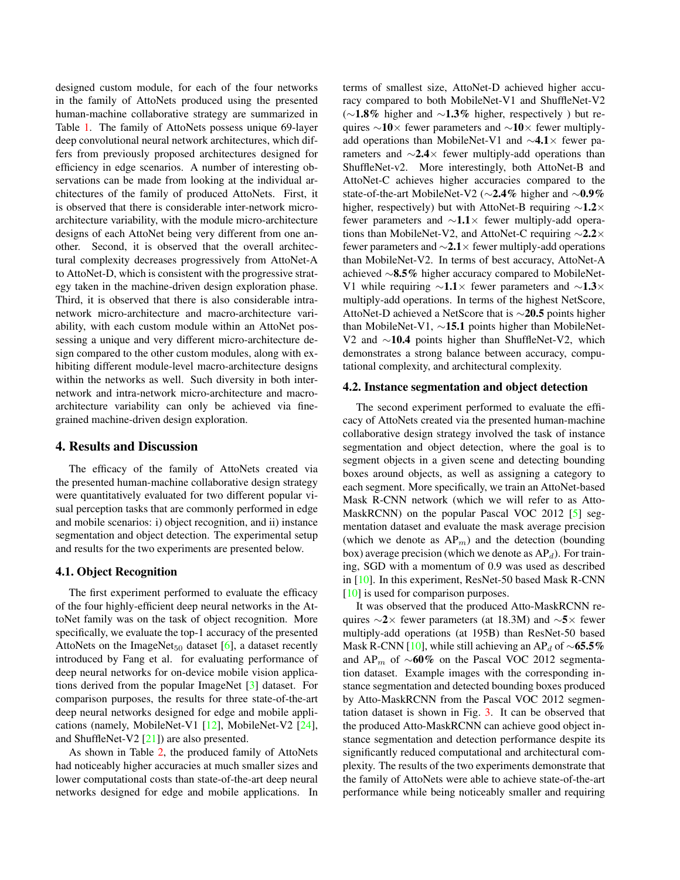designed custom module, for each of the four networks in the family of AttoNets produced using the presented human-machine collaborative strategy are summarized in Table 1. The family of AttoNets possess unique 69-layer deep convolutional neural network architectures, which differs from previously proposed architectures designed for efficiency in edge scenarios. A number of interesting observations can be made from looking at the individual architectures of the family of produced AttoNets. First, it is observed that there is considerable inter-network microarchitecture variability, with the module micro-architecture designs of each AttoNet being very different from one another. Second, it is observed that the overall architectural complexity decreases progressively from AttoNet-A to AttoNet-D, which is consistent with the progressive strategy taken in the machine-driven design exploration phase. Third, it is observed that there is also considerable intranetwork micro-architecture and macro-architecture variability, with each custom module within an AttoNet possessing a unique and very different micro-architecture design compared to the other custom modules, along with exhibiting different module-level macro-architecture designs within the networks as well. Such diversity in both internetwork and intra-network micro-architecture and macroarchitecture variability can only be achieved via finegrained machine-driven design exploration.

## 4. Results and Discussion

The efficacy of the family of AttoNets created via the presented human-machine collaborative design strategy were quantitatively evaluated for two different popular visual perception tasks that are commonly performed in edge and mobile scenarios: i) object recognition, and ii) instance segmentation and object detection. The experimental setup and results for the two experiments are presented below.

#### 4.1. Object Recognition

The first experiment performed to evaluate the efficacy of the four highly-efficient deep neural networks in the AttoNet family was on the task of object recognition. More specifically, we evaluate the top-1 accuracy of the presented AttoNets on the ImageNet<sub>50</sub> dataset [6], a dataset recently introduced by Fang et al. for evaluating performance of deep neural networks for on-device mobile vision applications derived from the popular ImageNet [3] dataset. For comparison purposes, the results for three state-of-the-art deep neural networks designed for edge and mobile applications (namely, MobileNet-V1 [12], MobileNet-V2 [24], and ShuffleNet-V2 [21]) are also presented.

As shown in Table 2, the produced family of AttoNets had noticeably higher accuracies at much smaller sizes and lower computational costs than state-of-the-art deep neural networks designed for edge and mobile applications. In terms of smallest size, AttoNet-D achieved higher accuracy compared to both MobileNet-V1 and ShuffleNet-V2 ( $\sim$ 1.8% higher and  $\sim$ 1.3% higher, respectively) but requires ∼10× fewer parameters and ∼10× fewer multiplyadd operations than MobileNet-V1 and ∼4.1× fewer parameters and  $\sim$ 2.4× fewer multiply-add operations than ShuffleNet-v2. More interestingly, both AttoNet-B and AttoNet-C achieves higher accuracies compared to the state-of-the-art MobileNet-V2 (∼2.4% higher and ∼0.9% higher, respectively) but with AttoNet-B requiring ∼1.2× fewer parameters and ∼1.1× fewer multiply-add operations than MobileNet-V2, and AttoNet-C requiring ∼2.2× fewer parameters and ∼2.1× fewer multiply-add operations than MobileNet-V2. In terms of best accuracy, AttoNet-A achieved ∼8.5% higher accuracy compared to MobileNet-V1 while requiring  $\sim$ 1.1× fewer parameters and  $\sim$ 1.3× multiply-add operations. In terms of the highest NetScore, AttoNet-D achieved a NetScore that is ∼20.5 points higher than MobileNet-V1, ∼15.1 points higher than MobileNet-V2 and ∼10.4 points higher than ShuffleNet-V2, which demonstrates a strong balance between accuracy, computational complexity, and architectural complexity.

#### 4.2. Instance segmentation and object detection

The second experiment performed to evaluate the efficacy of AttoNets created via the presented human-machine collaborative design strategy involved the task of instance segmentation and object detection, where the goal is to segment objects in a given scene and detecting bounding boxes around objects, as well as assigning a category to each segment. More specifically, we train an AttoNet-based Mask R-CNN network (which we will refer to as Atto-MaskRCNN) on the popular Pascal VOC 2012 [5] segmentation dataset and evaluate the mask average precision (which we denote as  $AP_m$ ) and the detection (bounding box) average precision (which we denote as  $AP<sub>d</sub>$ ). For training, SGD with a momentum of 0.9 was used as described in [10]. In this experiment, ResNet-50 based Mask R-CNN [10] is used for comparison purposes.

It was observed that the produced Atto-MaskRCNN requires  $\sim$ 2× fewer parameters (at 18.3M) and  $\sim$ 5× fewer multiply-add operations (at 195B) than ResNet-50 based Mask R-CNN [10], while still achieving an AP<sub>d</sub> of ~65.5% and AP<sub>m</sub> of ~60% on the Pascal VOC 2012 segmentation dataset. Example images with the corresponding instance segmentation and detected bounding boxes produced by Atto-MaskRCNN from the Pascal VOC 2012 segmentation dataset is shown in Fig. 3. It can be observed that the produced Atto-MaskRCNN can achieve good object instance segmentation and detection performance despite its significantly reduced computational and architectural complexity. The results of the two experiments demonstrate that the family of AttoNets were able to achieve state-of-the-art performance while being noticeably smaller and requiring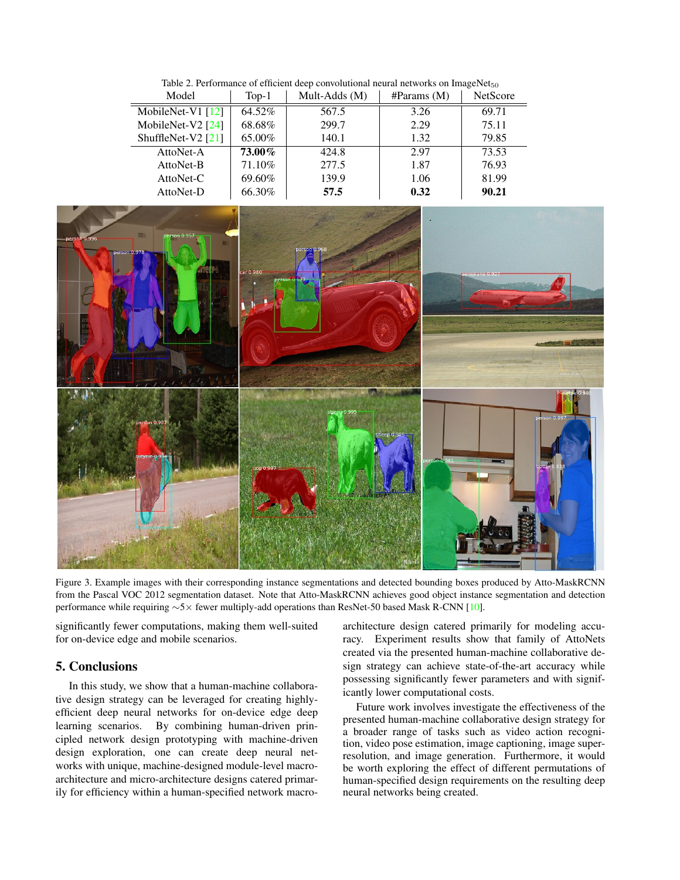Table 2. Performance of efficient deep convolutional neural networks on  $ImageNet_{50}$ 

| Model                | $Top-1$ | Mult-Adds (M) | $\#$ Params (M) | <b>NetScore</b> |
|----------------------|---------|---------------|-----------------|-----------------|
| MobileNet-V1 $[12]$  | 64.52%  | 567.5         | 3.26            | 69.71           |
| MobileNet-V2 $[24]$  | 68.68%  | 299.7         | 2.29            | 75.11           |
| ShuffleNet-V2 $[21]$ | 65.00%  | 140.1         | 1.32            | 79.85           |
| AttoNet-A            | 73.00%  | 424.8         | 2.97            | 73.53           |
| AttoNet-B            | 71.10%  | 277.5         | 1.87            | 76.93           |
| AttoNet-C            | 69.60%  | 139.9         | 1.06            | 81.99           |
| AttoNet-D            | 66.30%  | 57.5          | 0.32            | 90.21           |



Figure 3. Example images with their corresponding instance segmentations and detected bounding boxes produced by Atto-MaskRCNN from the Pascal VOC 2012 segmentation dataset. Note that Atto-MaskRCNN achieves good object instance segmentation and detection performance while requiring ∼5× fewer multiply-add operations than ResNet-50 based Mask R-CNN [10].

significantly fewer computations, making them well-suited for on-device edge and mobile scenarios.

## 5. Conclusions

In this study, we show that a human-machine collaborative design strategy can be leveraged for creating highlyefficient deep neural networks for on-device edge deep learning scenarios. By combining human-driven principled network design prototyping with machine-driven design exploration, one can create deep neural networks with unique, machine-designed module-level macroarchitecture and micro-architecture designs catered primarily for efficiency within a human-specified network macroarchitecture design catered primarily for modeling accuracy. Experiment results show that family of AttoNets created via the presented human-machine collaborative design strategy can achieve state-of-the-art accuracy while possessing significantly fewer parameters and with significantly lower computational costs.

Future work involves investigate the effectiveness of the presented human-machine collaborative design strategy for a broader range of tasks such as video action recognition, video pose estimation, image captioning, image superresolution, and image generation. Furthermore, it would be worth exploring the effect of different permutations of human-specified design requirements on the resulting deep neural networks being created.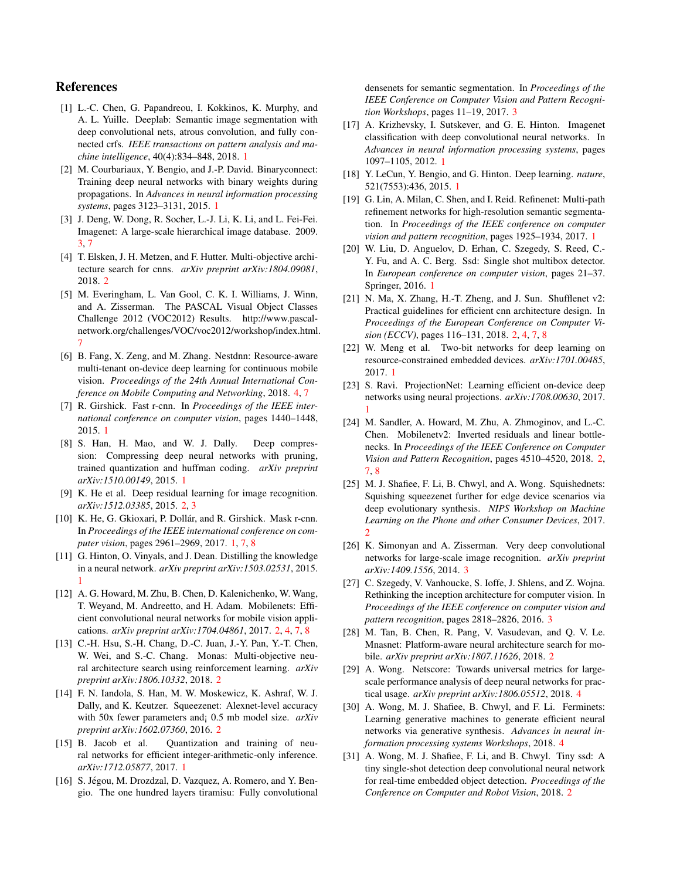# References

- [1] L.-C. Chen, G. Papandreou, I. Kokkinos, K. Murphy, and A. L. Yuille. Deeplab: Semantic image segmentation with deep convolutional nets, atrous convolution, and fully connected crfs. *IEEE transactions on pattern analysis and machine intelligence*, 40(4):834–848, 2018. 1
- [2] M. Courbariaux, Y. Bengio, and J.-P. David. Binaryconnect: Training deep neural networks with binary weights during propagations. In *Advances in neural information processing systems*, pages 3123–3131, 2015. 1
- [3] J. Deng, W. Dong, R. Socher, L.-J. Li, K. Li, and L. Fei-Fei. Imagenet: A large-scale hierarchical image database. 2009. 3, 7
- [4] T. Elsken, J. H. Metzen, and F. Hutter. Multi-objective architecture search for cnns. *arXiv preprint arXiv:1804.09081*, 2018. 2
- [5] M. Everingham, L. Van Gool, C. K. I. Williams, J. Winn, and A. Zisserman. The PASCAL Visual Object Classes Challenge 2012 (VOC2012) Results. http://www.pascalnetwork.org/challenges/VOC/voc2012/workshop/index.html. 7
- [6] B. Fang, X. Zeng, and M. Zhang. Nestdnn: Resource-aware multi-tenant on-device deep learning for continuous mobile vision. *Proceedings of the 24th Annual International Conference on Mobile Computing and Networking*, 2018. 4, 7
- [7] R. Girshick. Fast r-cnn. In *Proceedings of the IEEE international conference on computer vision*, pages 1440–1448, 2015. 1
- [8] S. Han, H. Mao, and W. J. Dally. Deep compression: Compressing deep neural networks with pruning, trained quantization and huffman coding. *arXiv preprint arXiv:1510.00149*, 2015. 1
- [9] K. He et al. Deep residual learning for image recognition. *arXiv:1512.03385*, 2015. 2, 3
- [10] K. He, G. Gkioxari, P. Dollár, and R. Girshick. Mask r-cnn. In *Proceedings of the IEEE international conference on computer vision*, pages 2961–2969, 2017. 1, 7, 8
- [11] G. Hinton, O. Vinyals, and J. Dean. Distilling the knowledge in a neural network. *arXiv preprint arXiv:1503.02531*, 2015. 1
- [12] A. G. Howard, M. Zhu, B. Chen, D. Kalenichenko, W. Wang, T. Weyand, M. Andreetto, and H. Adam. Mobilenets: Efficient convolutional neural networks for mobile vision applications. *arXiv preprint arXiv:1704.04861*, 2017. 2, 4, 7, 8
- [13] C.-H. Hsu, S.-H. Chang, D.-C. Juan, J.-Y. Pan, Y.-T. Chen, W. Wei, and S.-C. Chang. Monas: Multi-objective neural architecture search using reinforcement learning. *arXiv preprint arXiv:1806.10332*, 2018. 2
- [14] F. N. Iandola, S. Han, M. W. Moskewicz, K. Ashraf, W. J. Dally, and K. Keutzer. Squeezenet: Alexnet-level accuracy with 50x fewer parameters and¡ 0.5 mb model size. *arXiv preprint arXiv:1602.07360*, 2016. 2
- [15] B. Jacob et al. Quantization and training of neural networks for efficient integer-arithmetic-only inference. *arXiv:1712.05877*, 2017. 1
- [16] S. Jégou, M. Drozdzal, D. Vazquez, A. Romero, and Y. Bengio. The one hundred layers tiramisu: Fully convolutional

densenets for semantic segmentation. In *Proceedings of the IEEE Conference on Computer Vision and Pattern Recognition Workshops*, pages 11–19, 2017. 3

- [17] A. Krizhevsky, I. Sutskever, and G. E. Hinton. Imagenet classification with deep convolutional neural networks. In *Advances in neural information processing systems*, pages 1097–1105, 2012. 1
- [18] Y. LeCun, Y. Bengio, and G. Hinton. Deep learning. *nature*, 521(7553):436, 2015. 1
- [19] G. Lin, A. Milan, C. Shen, and I. Reid. Refinenet: Multi-path refinement networks for high-resolution semantic segmentation. In *Proceedings of the IEEE conference on computer vision and pattern recognition*, pages 1925–1934, 2017. 1
- [20] W. Liu, D. Anguelov, D. Erhan, C. Szegedy, S. Reed, C.-Y. Fu, and A. C. Berg. Ssd: Single shot multibox detector. In *European conference on computer vision*, pages 21–37. Springer, 2016. 1
- [21] N. Ma, X. Zhang, H.-T. Zheng, and J. Sun. Shufflenet v2: Practical guidelines for efficient cnn architecture design. In *Proceedings of the European Conference on Computer Vision (ECCV)*, pages 116–131, 2018. 2, 4, 7, 8
- [22] W. Meng et al. Two-bit networks for deep learning on resource-constrained embedded devices. *arXiv:1701.00485*, 2017. 1
- [23] S. Ravi. ProjectionNet: Learning efficient on-device deep networks using neural projections. *arXiv:1708.00630*, 2017. 1
- [24] M. Sandler, A. Howard, M. Zhu, A. Zhmoginov, and L.-C. Chen. Mobilenetv2: Inverted residuals and linear bottlenecks. In *Proceedings of the IEEE Conference on Computer Vision and Pattern Recognition*, pages 4510–4520, 2018. 2, 7, 8
- [25] M. J. Shafiee, F. Li, B. Chwyl, and A. Wong. Squishednets: Squishing squeezenet further for edge device scenarios via deep evolutionary synthesis. *NIPS Workshop on Machine Learning on the Phone and other Consumer Devices*, 2017. 2
- [26] K. Simonyan and A. Zisserman. Very deep convolutional networks for large-scale image recognition. *arXiv preprint arXiv:1409.1556*, 2014. 3
- [27] C. Szegedy, V. Vanhoucke, S. Ioffe, J. Shlens, and Z. Wojna. Rethinking the inception architecture for computer vision. In *Proceedings of the IEEE conference on computer vision and pattern recognition*, pages 2818–2826, 2016. 3
- [28] M. Tan, B. Chen, R. Pang, V. Vasudevan, and Q. V. Le. Mnasnet: Platform-aware neural architecture search for mobile. *arXiv preprint arXiv:1807.11626*, 2018. 2
- [29] A. Wong. Netscore: Towards universal metrics for largescale performance analysis of deep neural networks for practical usage. *arXiv preprint arXiv:1806.05512*, 2018. 4
- [30] A. Wong, M. J. Shafiee, B. Chwyl, and F. Li. Ferminets: Learning generative machines to generate efficient neural networks via generative synthesis. *Advances in neural information processing systems Workshops*, 2018. 4
- [31] A. Wong, M. J. Shafiee, F. Li, and B. Chwyl. Tiny ssd: A tiny single-shot detection deep convolutional neural network for real-time embedded object detection. *Proceedings of the Conference on Computer and Robot Vision*, 2018. 2